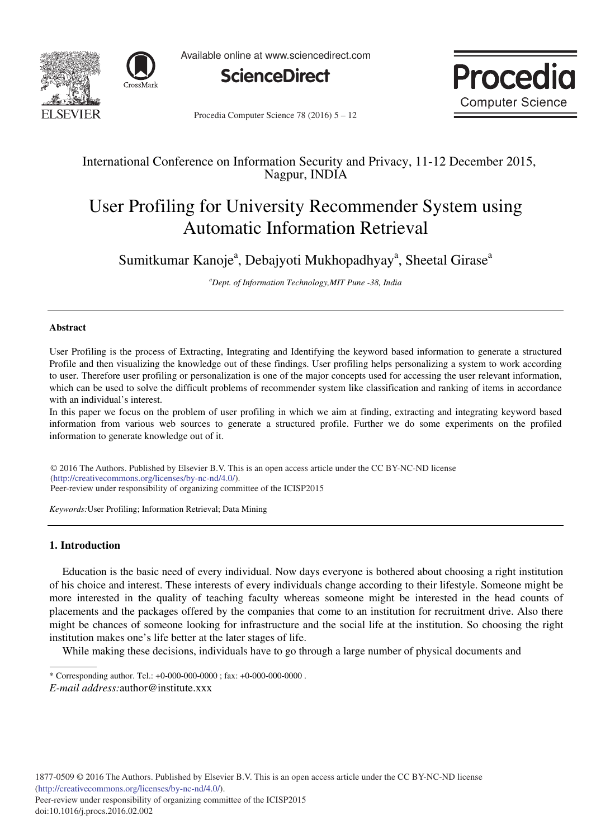



Available online at www.sciencedirect.com





Procedia Computer Science 78 (2016)  $5 - 12$ 

## International Conference on Information Security and Privacy, 11-12 December 2015, Nagpur, INDIA

# User Profiling for University Recommender System using Automatic Information Retrieval

Sumitkumar Kanoje<sup>a</sup>, Debajyoti Mukhopadhyay<sup>a</sup>, Sheetal Girase<sup>a</sup>

*<sup>a</sup>Dept. of Information Technology,MIT Pune -38, India* 

## **Abstract**

User Profiling is the process of Extracting, Integrating and Identifying the keyword based information to generate a structured Profile and then visualizing the knowledge out of these findings. User profiling helps personalizing a system to work according to user. Therefore user profiling or personalization is one of the major concepts used for accessing the user relevant information, which can be used to solve the difficult problems of recommender system like classification and ranking of items in accordance with an individual's interest.

In this paper we focus on the problem of user profiling in which we aim at finding, extracting and integrating keyword based information from various web sources to generate a structured profile. Further we do some experiments on the profiled information to generate knowledge out of it.

© 2016 The Authors. Published by Elsevier B.V. (http://creativecommons.org/licenses/by-nc-nd/4.0/). Peer-review under responsibility of organizing committee of the ICISP2015 © 2016 The Authors. Published by Elsevier B.V. This is an open access article under the CC BY-NC-ND license

*Keywords:*User Profiling; Information Retrieval; Data Mining

## **1. Introduction**

Education is the basic need of every individual. Now days everyone is bothered about choosing a right institution of his choice and interest. These interests of every individuals change according to their lifestyle. Someone might be more interested in the quality of teaching faculty whereas someone might be interested in the head counts of placements and the packages offered by the companies that come to an institution for recruitment drive. Also there might be chances of someone looking for infrastructure and the social life at the institution. So choosing the right institution makes one's life better at the later stages of life.

While making these decisions, individuals have to go through a large number of physical documents and

<sup>\*</sup> Corresponding author. Tel.: +0-000-000-0000 ; fax: +0-000-000-0000 .

*E-mail address:*author@institute.xxx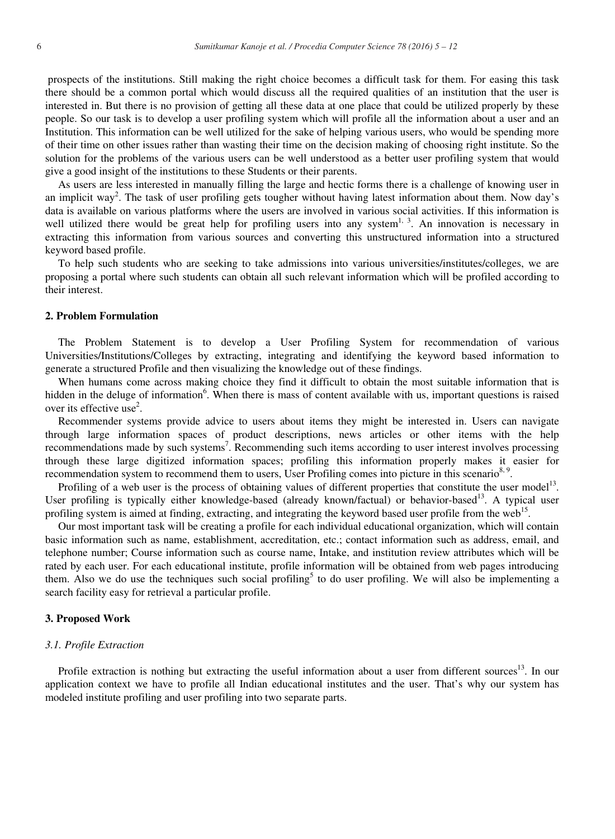prospects of the institutions. Still making the right choice becomes a difficult task for them. For easing this task there should be a common portal which would discuss all the required qualities of an institution that the user is interested in. But there is no provision of getting all these data at one place that could be utilized properly by these people. So our task is to develop a user profiling system which will profile all the information about a user and an Institution. This information can be well utilized for the sake of helping various users, who would be spending more of their time on other issues rather than wasting their time on the decision making of choosing right institute. So the solution for the problems of the various users can be well understood as a better user profiling system that would give a good insight of the institutions to these Students or their parents.

As users are less interested in manually filling the large and hectic forms there is a challenge of knowing user in an implicit way<sup>2</sup>. The task of user profiling gets tougher without having latest information about them. Now day's data is available on various platforms where the users are involved in various social activities. If this information is well utilized there would be great help for profiling users into any system<sup>1, 3</sup>. An innovation is necessary in extracting this information from various sources and converting this unstructured information into a structured keyword based profile.

To help such students who are seeking to take admissions into various universities/institutes/colleges, we are proposing a portal where such students can obtain all such relevant information which will be profiled according to their interest.

#### **2. Problem Formulation**

The Problem Statement is to develop a User Profiling System for recommendation of various Universities/Institutions/Colleges by extracting, integrating and identifying the keyword based information to generate a structured Profile and then visualizing the knowledge out of these findings.

When humans come across making choice they find it difficult to obtain the most suitable information that is hidden in the deluge of information<sup>6</sup>. When there is mass of content available with us, important questions is raised over its effective use<sup>2</sup>.

Recommender systems provide advice to users about items they might be interested in. Users can navigate through large information spaces of product descriptions, news articles or other items with the help recommendations made by such systems<sup>7</sup>. Recommending such items according to user interest involves processing through these large digitized information spaces; profiling this information properly makes it easier for recommendation system to recommend them to users, User Profiling comes into picture in this scenario<sup>8, 9</sup>.

Profiling of a web user is the process of obtaining values of different properties that constitute the user model<sup>13</sup>. User profiling is typically either knowledge-based (already known/factual) or behavior-based<sup>13</sup>. A typical user profiling system is aimed at finding, extracting, and integrating the keyword based user profile from the web<sup>15</sup>.

Our most important task will be creating a profile for each individual educational organization, which will contain basic information such as name, establishment, accreditation, etc.; contact information such as address, email, and telephone number; Course information such as course name, Intake, and institution review attributes which will be rated by each user. For each educational institute, profile information will be obtained from web pages introducing them. Also we do use the techniques such social profiling<sup>5</sup> to do user profiling. We will also be implementing a search facility easy for retrieval a particular profile.

#### **3. Proposed Work**

#### *3.1. Profile Extraction*

Profile extraction is nothing but extracting the useful information about a user from different sources $13$ . In our application context we have to profile all Indian educational institutes and the user. That's why our system has modeled institute profiling and user profiling into two separate parts.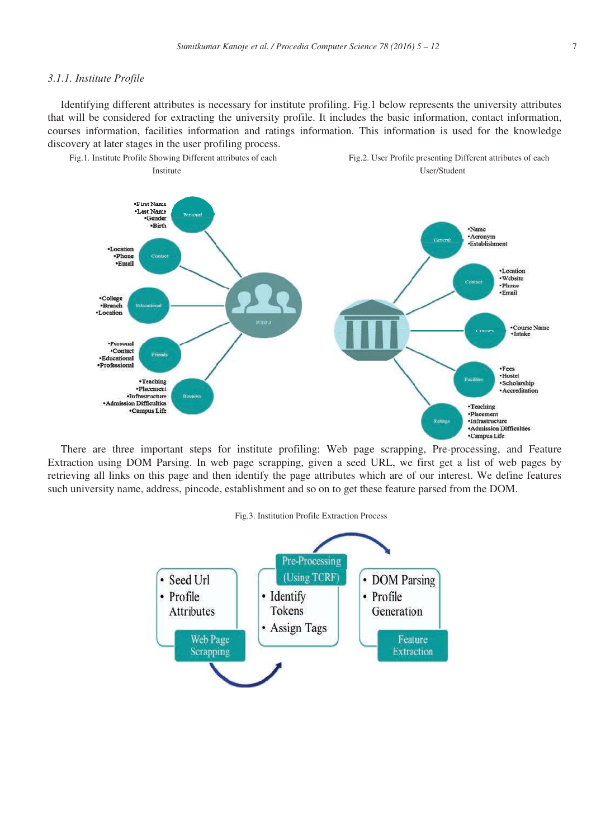#### *3.1.1. Institute Profile*

Identifying different attributes is necessary for institute profiling. Fig.1 below represents the university attributes that will be considered for extracting the university profile. It includes the basic information, contact information, courses information, facilities information and ratings information. This information is used for the knowledge discovery at later stages in the user profiling process.



There are three important steps for institute profiling: Web page scrapping, Pre-processing, and Feature Extraction using DOM Parsing. In web page scrapping, given a seed URL, we first get a list of web pages by retrieving all links on this page and then identify the page attributes which are of our interest. We define features such university name, address, pincode, establishment and so on to get these feature parsed from the DOM.

#### Fig.3. Institution Profile Extraction Process

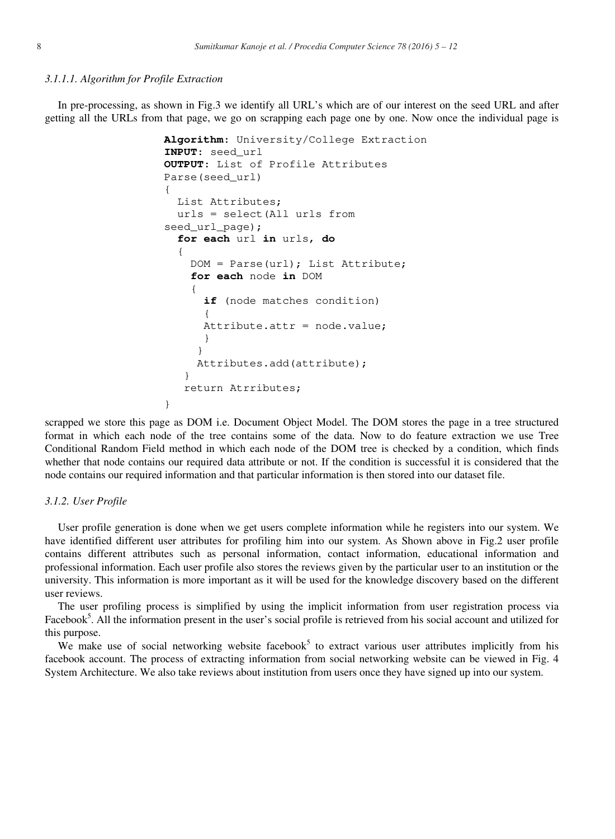#### *3.1.1.1. Algorithm for Profile Extraction*

In pre-processing, as shown in Fig.3 we identify all URL's which are of our interest on the seed URL and after getting all the URLs from that page, we go on scrapping each page one by one. Now once the individual page is

```
Algorithm: University/College Extraction
INPUT: seed_url
OUTPUT: List of Profile Attributes
Parse(seed_url)
{
   List Attributes;
   urls = select(All urls from 
seed_url_page);
   for each url in urls, do
   {
     DOM = Parse(url); List Attribute;
     for each node in DOM
     {
       if (node matches condition)
 {
      Attribute.attr = node.value; 
       }
      } 
      Attributes.add(attribute); 
    }
    return Atrributes;
}
```
scrapped we store this page as DOM i.e. Document Object Model. The DOM stores the page in a tree structured format in which each node of the tree contains some of the data. Now to do feature extraction we use Tree Conditional Random Field method in which each node of the DOM tree is checked by a condition, which finds whether that node contains our required data attribute or not. If the condition is successful it is considered that the node contains our required information and that particular information is then stored into our dataset file.

#### *3.1.2. User Profile*

User profile generation is done when we get users complete information while he registers into our system. We have identified different user attributes for profiling him into our system. As Shown above in Fig.2 user profile contains different attributes such as personal information, contact information, educational information and professional information. Each user profile also stores the reviews given by the particular user to an institution or the university. This information is more important as it will be used for the knowledge discovery based on the different user reviews.

The user profiling process is simplified by using the implicit information from user registration process via Facebook<sup>5</sup>. All the information present in the user's social profile is retrieved from his social account and utilized for this purpose.

We make use of social networking website facebook<sup>5</sup> to extract various user attributes implicitly from his facebook account. The process of extracting information from social networking website can be viewed in Fig. 4 System Architecture. We also take reviews about institution from users once they have signed up into our system.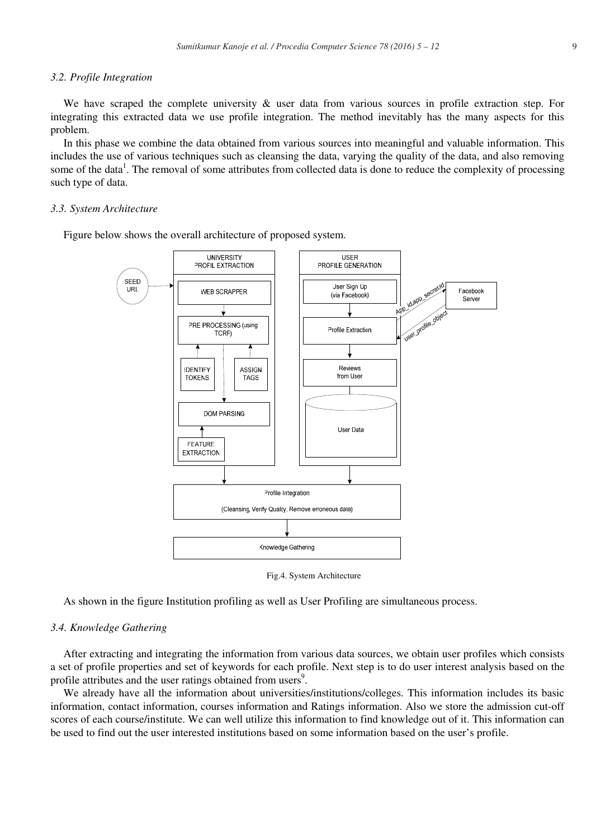#### *3.2. Profile Integration*

We have scraped the complete university & user data from various sources in profile extraction step. For integrating this extracted data we use profile integration. The method inevitably has the many aspects for this problem.

In this phase we combine the data obtained from various sources into meaningful and valuable information. This includes the use of various techniques such as cleansing the data, varying the quality of the data, and also removing some of the data<sup>1</sup>. The removal of some attributes from collected data is done to reduce the complexity of processing such type of data.

## *3.3. System Architecture*

Figure below shows the overall architecture of proposed system.



Fig.4. System Architecture

As shown in the figure Institution profiling as well as User Profiling are simultaneous process.

## *3.4. Knowledge Gathering*

After extracting and integrating the information from various data sources, we obtain user profiles which consists a set of profile properties and set of keywords for each profile. Next step is to do user interest analysis based on the profile attributes and the user ratings obtained from users<sup>9</sup>.

We already have all the information about universities/institutions/colleges. This information includes its basic information, contact information, courses information and Ratings information. Also we store the admission cut-off scores of each course/institute. We can well utilize this information to find knowledge out of it. This information can be used to find out the user interested institutions based on some information based on the user's profile.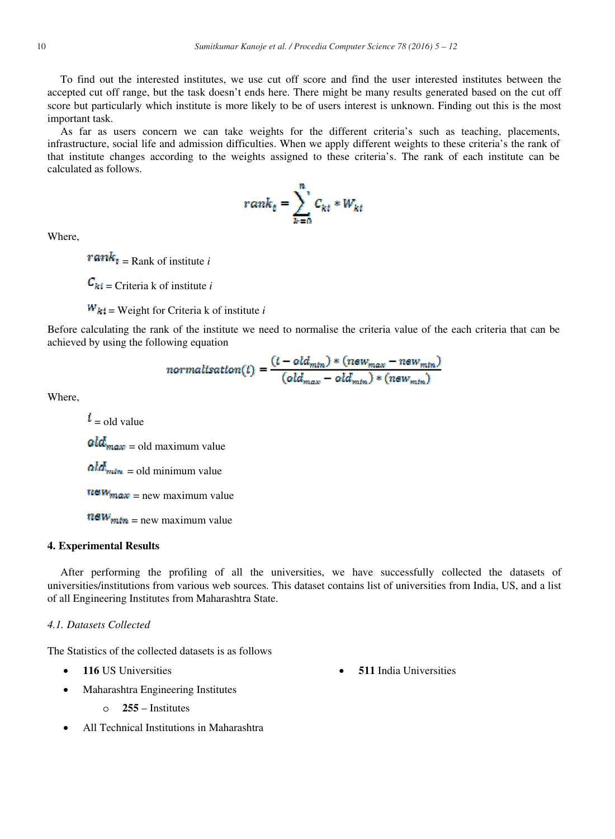To find out the interested institutes, we use cut off score and find the user interested institutes between the accepted cut off range, but the task doesn't ends here. There might be many results generated based on the cut off score but particularly which institute is more likely to be of users interest is unknown. Finding out this is the most important task.

As far as users concern we can take weights for the different criteria's such as teaching, placements, infrastructure, social life and admission difficulties. When we apply different weights to these criteria's the rank of that institute changes according to the weights assigned to these criteria's. The rank of each institute can be calculated as follows.

$$
rank_t = \sum_{k=0}^{n} C_{kt} * W_{kt}
$$

Where,

 $\mathbf{rank}_{\mathbf{t}} =$  Rank of institute *i* 

 $\mathbf{C}_{ki}$  = Criteria k of institute *i* 

 $W_{kl}$  = Weight for Criteria k of institute *i* 

Before calculating the rank of the institute we need to normalise the criteria value of the each criteria that can be achieved by using the following equation

$$
normalisation(t) = \frac{(t - old_{min}) * (new_{max} - new_{min})}{(old_{max} - old_{min}) * (new_{min})}
$$

Where,

 $\boldsymbol{i}$  = old value  $old_{max} = old$  maximum value  $\boldsymbol{a} \boldsymbol{b} \boldsymbol{d}_{\boldsymbol{m}\boldsymbol{b}\boldsymbol{m}}$  = old minimum value  $\frac{1}{2}$   $\frac{1}{2}$   $\frac{1}{2}$   $\frac{1}{2}$   $\frac{1}{2}$   $\frac{1}{2}$   $\frac{1}{2}$   $\frac{1}{2}$   $\frac{1}{2}$   $\frac{1}{2}$   $\frac{1}{2}$   $\frac{1}{2}$   $\frac{1}{2}$   $\frac{1}{2}$   $\frac{1}{2}$   $\frac{1}{2}$   $\frac{1}{2}$   $\frac{1}{2}$   $\frac{1}{2}$   $\frac{1}{2}$   $\frac{1}{2}$   $\frac{1}{2}$   $n \in W_{\text{min}} =$  new maximum value

#### **4. Experimental Results**

After performing the profiling of all the universities, we have successfully collected the datasets of universities/institutions from various web sources. This dataset contains list of universities from India, US, and a list of all Engineering Institutes from Maharashtra State.

## *4.1. Datasets Collected*

The Statistics of the collected datasets is as follows

- 
- Maharashtra Engineering Institutes
	- o **255** Institutes
- x All Technical Institutions in Maharashtra
- **116** US Universities **116** US Universities **511** India Universities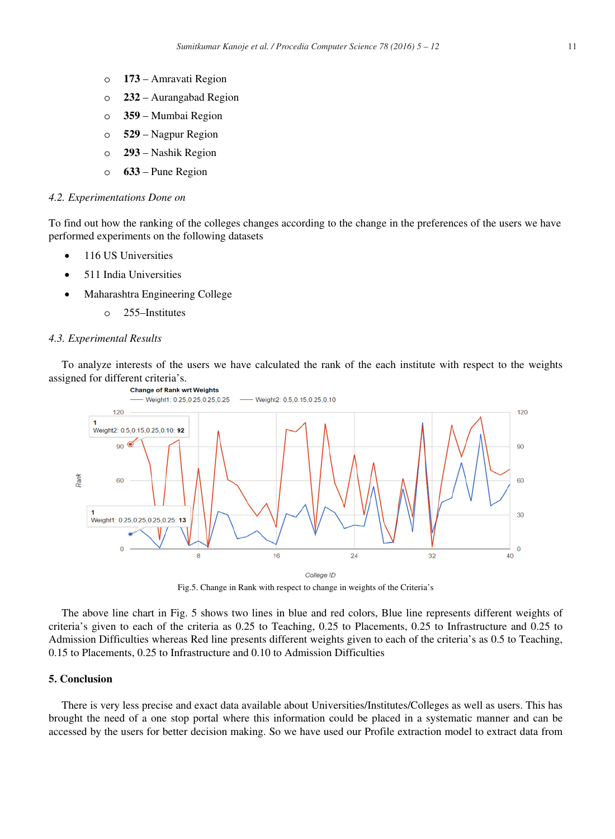- o **173** Amravati Region
- o **232** Aurangabad Region
- o **359** Mumbai Region
- o **529** Nagpur Region
- o **293** Nashik Region
- o **633** Pune Region

#### *4.2. Experimentations Done on*

To find out how the ranking of the colleges changes according to the change in the preferences of the users we have performed experiments on the following datasets

- 116 US Universities
- 511 India Universities
- x Maharashtra Engineering College
	- o 255–Institutes

#### *4.3. Experimental Results*

To analyze interests of the users we have calculated the rank of the each institute with respect to the weights assigned for different criteria's.<br>Change of Rank wrt Weights



Fig.5. Change in Rank with respect to change in weights of the Criteria's

The above line chart in Fig. 5 shows two lines in blue and red colors, Blue line represents different weights of criteria's given to each of the criteria as 0.25 to Teaching, 0.25 to Placements, 0.25 to Infrastructure and 0.25 to Admission Difficulties whereas Red line presents different weights given to each of the criteria's as 0.5 to Teaching, 0.15 to Placements, 0.25 to Infrastructure and 0.10 to Admission Difficulties

## **5. Conclusion**

There is very less precise and exact data available about Universities/Institutes/Colleges as well as users. This has brought the need of a one stop portal where this information could be placed in a systematic manner and can be accessed by the users for better decision making. So we have used our Profile extraction model to extract data from